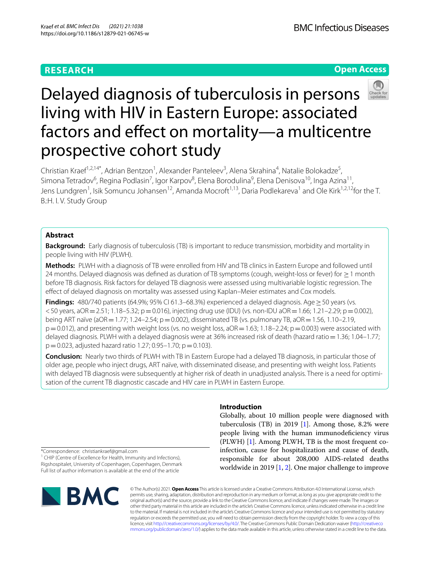## **RESEARCH**

**Open Access**



# Delayed diagnosis of tuberculosis in persons living with HIV in Eastern Europe: associated factors and efect on mortality—a multicentre prospective cohort study

Christian Kraef<sup>1,2,14\*</sup>, Adrian Bentzon<sup>1</sup>, Alexander Panteleev<sup>3</sup>, Alena Skrahina<sup>4</sup>, Natalie Bolokadze<sup>5</sup>, Simona Tetradov<sup>6</sup>, Regina Podlasin<sup>7</sup>, Igor Karpov<sup>8</sup>, Elena Borodulina<sup>9</sup>, Elena Denisova<sup>10</sup>, Inga Azina<sup>11</sup>, Jens Lundgren<sup>1</sup>, Isik Somuncu Johansen<sup>12</sup>, Amanda Mocroft<sup>1,13</sup>, Daria Podlekareva<sup>1</sup> and Ole Kirk<sup>1,2,12</sup>for the T. B.:H. I. V. Study Group

### **Abstract**

**Background:** Early diagnosis of tuberculosis (TB) is important to reduce transmission, morbidity and mortality in people living with HIV (PLWH).

**Methods:** PLWH with a diagnosis of TB were enrolled from HIV and TB clinics in Eastern Europe and followed until 24 months. Delayed diagnosis was defned as duration of TB symptoms (cough, weight-loss or fever) for ≥1 month before TB diagnosis. Risk factors for delayed TB diagnosis were assessed using multivariable logistic regression. The efect of delayed diagnosis on mortality was assessed using Kaplan–Meier estimates and Cox models.

Findings: 480/740 patients (64.9%; 95% CI 61.3–68.3%) experienced a delayed diagnosis. Age ≥ 50 years (vs.  $<$  50 years, aOR = 2.51; 1.18–5.32; p = 0.016), injecting drug use (IDU) (vs. non-IDU aOR = 1.66; 1.21–2.29; p = 0.002), being ART naïve (aOR=1.77; 1.24–2.54; p=0.002), disseminated TB (vs. pulmonary TB, aOR=1.56, 1.10–2.19,  $p=0.012$ ), and presenting with weight loss (vs. no weight loss,  $aOR=1.63$ ; 1.18–2.24;  $p=0.003$ ) were associated with delayed diagnosis. PLWH with a delayed diagnosis were at 36% increased risk of death (hazard ratio=1.36; 1.04–1.77;  $p=0.023$ , adjusted hazard ratio 1.27; 0.95–1.70;  $p=0.103$ ).

**Conclusion:** Nearly two thirds of PLWH with TB in Eastern Europe had a delayed TB diagnosis, in particular those of older age, people who inject drugs, ART naïve, with disseminated disease, and presenting with weight loss. Patients with delayed TB diagnosis were subsequently at higher risk of death in unadjusted analysis. There is a need for optimisation of the current TB diagnostic cascade and HIV care in PLWH in Eastern Europe.

#### **Introduction**

Globally, about 10 million people were diagnosed with tuberculosis (TB) in 2019 [[1\]](#page-10-0). Among those, 8.2% were people living with the human immunodeficiency virus (PLWH) [\[1\]](#page-10-0). Among PLWH, TB is the most frequent coinfection, cause for hospitalization and cause of death, responsible for about 208,000 AIDS-related deaths worldwide in 2019 [\[1](#page-10-0), [2\]](#page-10-1). One major challenge to improve

\*Correspondence: christiankraef@gmail.com <sup>1</sup> CHIP (Centre of Excellence for Health, Immunity and Infections), Rigshospitalet, University of Copenhagen, Copenhagen, Denmark Full list of author information is available at the end of the article



© The Author(s) 2021. **Open Access** This article is licensed under a Creative Commons Attribution 4.0 International License, which permits use, sharing, adaptation, distribution and reproduction in any medium or format, as long as you give appropriate credit to the original author(s) and the source, provide a link to the Creative Commons licence, and indicate if changes were made. The images or other third party material in this article are included in the article's Creative Commons licence, unless indicated otherwise in a credit line to the material. If material is not included in the article's Creative Commons licence and your intended use is not permitted by statutory regulation or exceeds the permitted use, you will need to obtain permission directly from the copyright holder. To view a copy of this licence, visit [http://creativecommons.org/licenses/by/4.0/.](http://creativecommons.org/licenses/by/4.0/) The Creative Commons Public Domain Dedication waiver ([http://creativeco](http://creativecommons.org/publicdomain/zero/1.0/) [mmons.org/publicdomain/zero/1.0/](http://creativecommons.org/publicdomain/zero/1.0/)) applies to the data made available in this article, unless otherwise stated in a credit line to the data.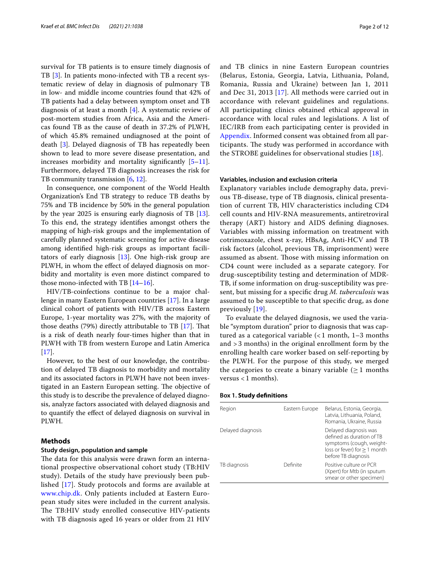survival for TB patients is to ensure timely diagnosis of TB [[3\]](#page-10-2). In patients mono-infected with TB a recent systematic review of delay in diagnosis of pulmonary TB in low- and middle income countries found that 42% of TB patients had a delay between symptom onset and TB diagnosis of at least a month  $[4]$  $[4]$ . A systematic review of post-mortem studies from Africa, Asia and the Americas found TB as the cause of death in 37.2% of PLWH, of which 45.8% remained undiagnosed at the point of death [\[3](#page-10-2)]. Delayed diagnosis of TB has repeatedly been shown to lead to more severe disease presentation, and increases morbidity and mortality significantly  $[5-11]$  $[5-11]$ . Furthermore, delayed TB diagnosis increases the risk for TB community transmission [[6,](#page-10-6) [12](#page-10-7)].

In consequence, one component of the World Health Organization's End TB strategy to reduce TB deaths by 75% and TB incidence by 50% in the general population by the year 2025 is ensuring early diagnosis of TB [\[13](#page-10-8)]. To this end, the strategy identifes amongst others the mapping of high-risk groups and the implementation of carefully planned systematic screening for active disease among identifed high-risk groups as important facilitators of early diagnosis [[13\]](#page-10-8). One high-risk group are PLWH, in whom the efect of delayed diagnosis on morbidity and mortality is even more distinct compared to those mono-infected with TB [[14](#page-10-9)[–16](#page-10-10)].

HIV/TB-coinfections continue to be a major challenge in many Eastern European countries [\[17\]](#page-10-11). In a large clinical cohort of patients with HIV/TB across Eastern Europe, 1-year mortality was 27%, with the majority of those deaths  $(79%)$  directly attributable to TB [[17](#page-10-11)]. That is a risk of death nearly four-times higher than that in PLWH with TB from western Europe and Latin America  $[17]$  $[17]$ .

However, to the best of our knowledge, the contribution of delayed TB diagnosis to morbidity and mortality and its associated factors in PLWH have not been investigated in an Eastern European setting. The objective of this study is to describe the prevalence of delayed diagnosis, analyze factors associated with delayed diagnosis and to quantify the efect of delayed diagnosis on survival in PLWH.

#### **Methods**

#### **Study design, population and sample**

The data for this analysis were drawn form an international prospective observational cohort study (TB:HIV study). Details of the study have previously been published [[17\]](#page-10-11). Study protocols and forms are available at [www.chip.dk.](http://www.chip.dk) Only patients included at Eastern European study sites were included in the current analysis. The TB:HIV study enrolled consecutive HIV-patients with TB diagnosis aged 16 years or older from 21 HIV and TB clinics in nine Eastern European countries (Belarus, Estonia, Georgia, Latvia, Lithuania, Poland, Romania, Russia and Ukraine) between Jan 1, 2011 and Dec 31, 2013 [\[17](#page-10-11)]. All methods were carried out in accordance with relevant guidelines and regulations. All participating clinics obtained ethical approval in accordance with local rules and legislations. A list of IEC/IRB from each participating center is provided in [Appendix](#page-8-0). Informed consent was obtained from all participants. The study was performed in accordance with the STROBE guidelines for observational studies [\[18](#page-10-12)].

#### **Variables, inclusion and exclusion criteria**

Explanatory variables include demography data, previous TB-disease, type of TB diagnosis, clinical presentation of current TB, HIV characteristics including CD4 cell counts and HIV-RNA measurements, antiretroviral therapy (ART) history and AIDS defning diagnoses. Variables with missing information on treatment with cotrimoxazole, chest x-ray, HBsAg, Anti-HCV and TB risk factors (alcohol, previous TB, imprisonment) were assumed as absent. Those with missing information on CD4 count were included as a separate category. For drug-susceptibility testing and determination of MDR-TB, if some information on drug-susceptibility was present, but missing for a specifc drug *M. tuberculosis* was assumed to be susceptible to that specifc drug, as done previously [[19](#page-10-13)].

To evaluate the delayed diagnosis, we used the variable "symptom duration" prior to diagnosis that was captured as a categorical variable (< 1 month, 1–3 months and > 3 months) in the original enrollment form by the enrolling health care worker based on self-reporting by the PLWH. For the purpose of this study, we merged the categories to create a binary variable  $(≥ 1$  months versus  $<$  1 months).

| <b>Box 1. Study definitions</b> |  |
|---------------------------------|--|
|---------------------------------|--|

| Region            | Eastern Europe | Belarus, Estonia, Georgia,<br>Latvia, Lithuania, Poland,<br>Romania, Ukraine, Russia                                                    |
|-------------------|----------------|-----------------------------------------------------------------------------------------------------------------------------------------|
| Delayed diagnosis |                | Delayed diagnosis was<br>defined as duration of TB<br>symptoms (cough, weight-<br>loss or fever) for $> 1$ month<br>before TB diagnosis |
| TB diagnosis      | Definite       | Positive culture or PCR<br>(Xpert) for Mtb (in sputum<br>smear or other specimen)                                                       |
|                   |                |                                                                                                                                         |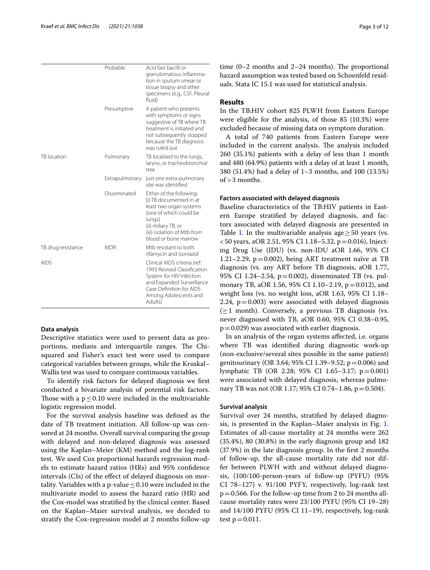|                    | Probable       | Acid fast bacilli or<br>granulomatous inflamma-<br>tion in sputum smear or<br>tissue biopsy and other<br>specimens (e.g., CSF, Pleural<br>fluid)                                                 |
|--------------------|----------------|--------------------------------------------------------------------------------------------------------------------------------------------------------------------------------------------------|
|                    | Presumptive    | A patient who presents<br>with symptoms or signs<br>suggestive of TB where TB<br>treatment is initiated and<br>not subsequently stopped<br>because the TB diagnosis<br>was ruled out             |
| TB location        | Pulmonary      | TB localised to the lungs,<br>larynx, or tracheobronchial<br>tree                                                                                                                                |
|                    | Extrapulmonary | just one extra-pulmonary<br>site was identified                                                                                                                                                  |
|                    | Disseminated   | Either of the following:<br>(i) TB documented in at<br>least two organ systems<br>(one of which could be<br>lungs)<br>(ii) miliary TB, or<br>(iii) isolation of Mtb from<br>blood or bone marrow |
| TB drug resistance | <b>MDR</b>     | Mtb resistant to both<br>rifamycin and isoniazid                                                                                                                                                 |
| <b>AIDS</b>        |                | Clinical AIDS criteria (ref:<br>1993 Revised Classification<br>System for HIV Infection<br>and Expanded Surveillance<br>Case Definition for AIDS<br>Among Adolescents and<br>Adults)             |

#### **Data analysis**

Descriptive statistics were used to present data as proportions, medians and interquartile ranges. The Chisquared and Fisher's exact test were used to compare categorical variables between groups, while the Kruskal– Wallis test was used to compare continuous variables.

To identify risk factors for delayed diagnosis we frst conducted a bivariate analysis of potential risk factors. Those with a  $p \le 0.10$  were included in the multivariable logistic regression model.

For the survival analysis baseline was defned as the date of TB treatment initiation. All follow-up was censored at 24 months. Overall survival comparing the group with delayed and non-delayed diagnosis was assessed using the Kaplan–Meier (KM) method and the log-rank test. We used Cox proportional hazards regression models to estimate hazard ratios (HRs) and 95% confdence intervals (CIs) of the efect of delayed diagnosis on mortality. Variables with a p-value  $\leq$  0.10 were included in the multivariate model to assess the hazard ratio (HR) and the Cox-model was stratifed by the clinical center. Based on the Kaplan–Maier survival analysis, we decided to stratify the Cox-regression model at 2 months follow-up time  $(0-2$  months and  $2-24$  months). The proportional hazard assumption was tested based on Schoenfeld residuals. Stata IC 15.1 was used for statistical analysis.

#### **Results**

In the TB:HIV cohort 825 PLWH from Eastern Europe were eligible for the analysis, of those 85 (10.3%) were excluded because of missing data on symptom duration.

A total of 740 patients from Eastern Europe were included in the current analysis. The analysis included 260 (35.1%) patients with a delay of less than 1 month and 480 (64.9%) patients with a delay of at least 1 month, 380 (51.4%) had a delay of 1–3 months, and 100 (13.5%) of >3 months.

#### **Factors associated with delayed diagnosis**

Baseline characteristics of the TB:HIV patients in Eastern Europe stratifed by delayed diagnosis, and factors associated with delayed diagnosis are presented in Table [1](#page-3-0). In the multivariable analysis age  $\geq$  50 years (vs.  $<$  50 years, aOR 2.51, 95% CI 1.18–5.32, p = 0.016), Injecting Drug Use (IDU) (vs. non-IDU aOR 1.66, 95% CI 1.21–2.29, p=0.002), being ART treatment naïve at TB diagnosis (vs. any ART before TB diagnosis, aOR 1.77, 95% CI 1.24–2.54, p=0.002), disseminated TB (vs. pulmonary TB, aOR 1.56, 95% CI 1.10–2.19, p=0.012), and weight loss (vs. no weight loss, aOR 1.63, 95% CI 1.18– 2.24,  $p=0.003$ ) were associated with delayed diagnosis  $(\geq 1$  month). Conversely, a previous TB diagnosis (vs. never diagnosed with TB, aOR 0.60, 95% CI 0.38–0.95,  $p=0.029$ ) was associated with earlier diagnosis.

In an analysis of the organ systems afected, i.e. organs where TB was identifed during diagnostic work-up (non-exclusive/several sites possible in the same patient) genitourinary (OR 3.64; 95% CI 1.39–9.52;  $p = 0.006$ ) and lymphatic TB (OR 2.28; 95% CI 1.65–3.17; p=0.001) were associated with delayed diagnosis, whereas pulmonary TB was not (OR 1.17; 95% CI 0.74–1.86, p = 0.504).

#### **Survival analysis**

Survival over 24 months, stratifed by delayed diagnosis, is presented in the Kaplan–Maier analysis in Fig. [1](#page-4-0). Estimates of all-cause mortality at 24 months were 262 (35.4%), 80 (30.8%) in the early diagnosis group and 182 (37.9%) in the late diagnosis group. In the frst 2 months of follow-up, the all-cause mortality rate did not differ between PLWH with and without delayed diagnosis, (100/100-person-years of follow-up (PYFU) (95% CI 78–127) v. 91/100 PYFY, respectively, log-rank test  $p=0.566$ . For the follow-up time from 2 to 24 months allcause mortality rates were 23/100 PYFU (95% CI 19–28) and 14/100 PYFU (95% CI 11–19), respectively, log-rank test  $p = 0.011$ .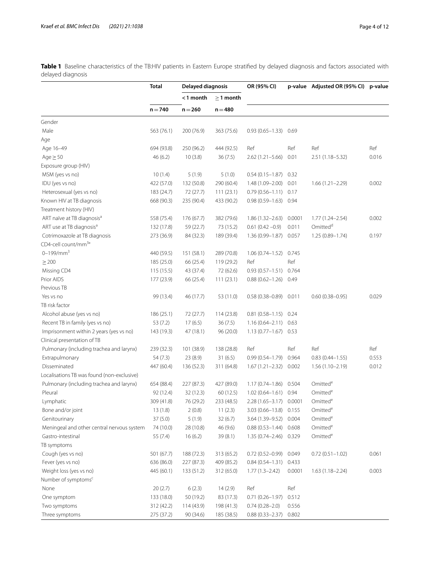<span id="page-3-0"></span>**Table 1** Baseline characteristics of the TB:HIV patients in Eastern Europe stratified by delayed diagnosis and factors associated with delayed diagnosis

|                                            | <b>Total</b> | Delayed diagnosis |                | OR (95% CI)               |        | p-value Adjusted OR (95% CI) p-value |       |
|--------------------------------------------|--------------|-------------------|----------------|---------------------------|--------|--------------------------------------|-------|
|                                            |              | <1 month          | $\geq$ 1 month |                           |        |                                      |       |
|                                            | $n = 740$    | $n = 260$         | $n = 480$      |                           |        |                                      |       |
| Gender                                     |              |                   |                |                           |        |                                      |       |
| Male                                       | 563 (76.1)   | 200 (76.9)        | 363 (75.6)     | $0.93(0.65 - 1.33)$       | 0.69   |                                      |       |
| Age                                        |              |                   |                |                           |        |                                      |       |
| Age 16-49                                  | 694 (93.8)   | 250 (96.2)        | 444 (92.5)     | Ref                       | Ref    | Ref                                  | Ref   |
| $Age \geq 50$                              | 46 (6.2)     | 10(3.8)           | 36(7.5)        | $2.62(1.21 - 5.66)$       | 0.01   | 2.51 (1.18-5.32)                     | 0.016 |
| Exposure group (HIV)                       |              |                   |                |                           |        |                                      |       |
| MSM (yes vs no)                            | 10(1.4)      | 5(1.9)            | 5(1.0)         | $0.54(0.15 - 1.87)$       | 0.32   |                                      |       |
| IDU (yes vs no)                            | 422 (57.0)   | 132 (50.8)        | 290 (60.4)     | 1.48 (1.09-2.00)          | 0.01   | $1.66(1.21 - 2.29)$                  | 0.002 |
| Heterosexual (yes vs no)                   | 183 (24.7)   | 72 (27.7)         | 111(23.1)      | $0.79(0.56 - 1.11)$ 0.17  |        |                                      |       |
| Known HIV at TB diagnosis                  | 668 (90.3)   | 235 (90.4)        | 433 (90.2)     | $0.98(0.59 - 1.63)$ 0.94  |        |                                      |       |
| Treatment history (HIV)                    |              |                   |                |                           |        |                                      |       |
| ART naïve at TB diagnosis <sup>a</sup>     | 558 (75.4)   | 176(67.7)         | 382 (79.6)     | $1.86(1.32 - 2.63)$       | 0.0001 | $1.77(1.24 - 2.54)$                  | 0.002 |
| ART use at TB diagnosis <sup>a</sup>       | 132 (17.8)   | 59 (22.7)         | 73 (15.2)      | $0.61(0.42 - 0.9)$        | 0.011  | Omitted <sup>d</sup>                 |       |
| Cotrimoxazole at TB diagnosis              | 273 (36.9)   | 84 (32.3)         | 189 (39.4)     | 1.36 (0.99-1.87) 0.057    |        | 1.25 (0.89-1.74)                     | 0.197 |
| CD4-cell count/mm <sup>3</sup> °           |              |                   |                |                           |        |                                      |       |
| $0 - 199/mm3$                              | 440 (59.5)   | 151 (58.1)        | 289 (70.8)     | $1.06(0.74 - 1.52)$       | 0.745  |                                      |       |
| $\geq 200$                                 | 185 (25.0)   | 66 (25.4)         | 119(29.2)      | Ref                       | Ref    |                                      |       |
| Missing CD4                                | 115 (15.5)   | 43 (37.4)         | 72 (62.6)      | $0.93(0.57 - 1.51)$ 0.764 |        |                                      |       |
| Prior AIDS                                 | 177 (23.9)   | 66 (25.4)         | 111(23.1)      | $0.88(0.62 - 1.26)$       | 0.49   |                                      |       |
| Previous <sub>TB</sub>                     |              |                   |                |                           |        |                                      |       |
| Yes vs no                                  | 99 (13.4)    | 46 (17.7)         | 53 (11.0)      | $0.58(0.38 - 0.89)$ 0.011 |        | $0.60(0.38 - 0.95)$                  | 0.029 |
| TB risk factor                             |              |                   |                |                           |        |                                      |       |
| Alcohol abuse (yes vs no)                  | 186(25.1)    | 72 (27.7)         | 114 (23.8)     | $0.81(0.58 - 1.15)$ 0.24  |        |                                      |       |
| Recent TB in family (yes vs no)            | 53(7.2)      | 17(6.5)           | 36(7.5)        | $1.16(0.64 - 2.11)$ 0.63  |        |                                      |       |
| Imprisonment within 2 years (yes vs no)    | 143 (19.3)   | 47 (18.1)         | 96 (20.0)      | $1.13(0.77 - 1.67)$ 0.53  |        |                                      |       |
| Clinical presentation of TB                |              |                   |                |                           |        |                                      |       |
| Pulmonary (including trachea and larynx)   | 239 (32.3)   | 101 (38.9)        | 138 (28.8)     | Ref                       | Ref    | Ref                                  | Ref   |
| Extrapulmonary                             | 54 (7.3)     | 23(8.9)           | 31(6.5)        | $0.99(0.54 - 1.79)$       | 0.964  | $0.83(0.44 - 1.55)$                  | 0.553 |
| Disseminated                               | 447 (60.4)   | 136 (52.3)        | 311 (64.8)     | $1.67(1.21 - 2.32)$       | 0.002  | $1.56(1.10-2.19)$                    | 0.012 |
| Localisations TB was found (non-exclusive) |              |                   |                |                           |        |                                      |       |
| Pulmonary (including trachea and larynx)   | 654 (88.4)   | 227 (87.3)        | 427 (89.0)     | $1.17(0.74 - 1.86)$       | 0.504  | Omitted <sup>e</sup>                 |       |
| Pleural                                    | 92 (12.4)    | 32 (12.3)         | 60(12.5)       | $1.02(0.64 - 1.61)$       | 0.94   | Omitted <sup>e</sup>                 |       |
| Lymphatic                                  | 309 (41.8)   | 76 (29.2)         | 233 (48.5)     | $2.28(1.65 - 3.17)$       | 0.0001 | Omitted <sup>e</sup>                 |       |
| Bone and/or joint                          | 13(1.8)      | 2(0.8)            | 11(2.3)        | 3.03 (0.66-13.8) 0.155    |        | Omitted <sup>e</sup>                 |       |
| Genitourinary                              | 37 (5.0)     | 5(1.9)            | 32(6.7)        | 3.64 (1.39-9.52)          | 0.004  | Omitted <sup>e</sup>                 |       |
| Meningeal and other central nervous system | 74 (10.0)    | 28 (10.8)         | 46 (9.6)       | $0.88(0.53 - 1.44)$       | 0.608  | Omitted <sup>e</sup>                 |       |
| Gastro-intestinal                          | 55 (7.4)     | 16(6.2)           | 39 (8.1)       | 1.35 (0.74-2.46) 0.329    |        | Omitted <sup>e</sup>                 |       |
| TB symptoms                                |              |                   |                |                           |        |                                      |       |
| Cough (yes vs no)                          | 501 (67.7)   | 188 (72.3)        | 313 (65.2)     | $0.72(0.52 - 0.99)$       | 0.049  | $0.72(0.51 - 1.02)$                  | 0.061 |
| Fever (yes vs no)                          | 636 (86.0)   | 227 (87.3)        | 409 (85.2)     | $0.84(0.54 - 1.31)$       | 0.433  |                                      |       |
| Weight loss (yes vs no)                    | 445 (60.1)   | 133 (51.2)        | 312 (65.0)     | $1.77(1.3 - 2.42)$        | 0.0001 | $1.63(1.18 - 2.24)$                  | 0.003 |
| Number of symptoms <sup>c</sup>            |              |                   |                |                           |        |                                      |       |
| None                                       | 20(2.7)      | 6(2.3)            | 14(2.9)        | Ref                       | Ref    |                                      |       |
| One symptom                                | 133 (18.0)   | 50 (19.2)         | 83 (17.3)      | $0.71(0.26 - 1.97)$       | 0.512  |                                      |       |
| Two symptoms                               | 312 (42.2)   | 114 (43.9)        | 198 (41.3)     | $0.74(0.28 - 2.0)$        | 0.556  |                                      |       |
| Three symptoms                             | 275 (37.2)   | 90 (34.6)         | 185 (38.5)     | 0.88 (0.33-2.37) 0.802    |        |                                      |       |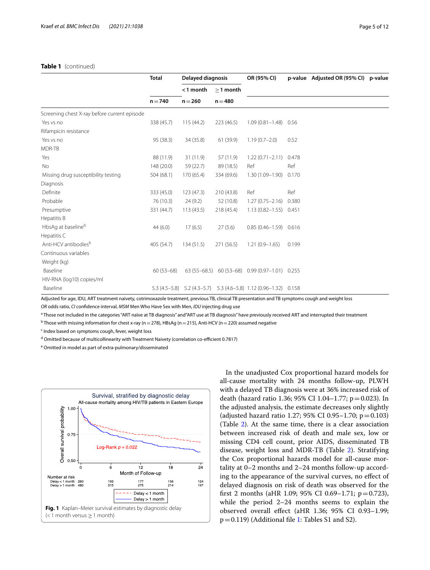#### **Table 1** (continued)

|                                              | <b>Total</b> | Delayed diagnosis |                | OR (95% CI)                                                              |       | p-value Adjusted OR (95% CI) p-value |  |
|----------------------------------------------|--------------|-------------------|----------------|--------------------------------------------------------------------------|-------|--------------------------------------|--|
|                                              |              | <1 month          | $\geq$ 1 month |                                                                          |       |                                      |  |
|                                              | $n = 740$    | $n = 260$         | $n = 480$      |                                                                          |       |                                      |  |
| Screening chest X-ray before current episode |              |                   |                |                                                                          |       |                                      |  |
| Yes vs no                                    | 338 (45.7)   | 115(44.2)         | 223(46.5)      | $1.09(0.81 - 1.48)$                                                      | 0.56  |                                      |  |
| Rifampicin resistance                        |              |                   |                |                                                                          |       |                                      |  |
| Yes vs no                                    | 95 (38.3)    | 34 (35.8)         | 61 (39.9)      | $1.19(0.7 - 2.0)$                                                        | 0.52  |                                      |  |
| MDR-TB                                       |              |                   |                |                                                                          |       |                                      |  |
| Yes                                          | 88 (11.9)    | 31(11.9)          | 57 (11.9)      | $1.22(0.71 - 2.11)$                                                      | 0.478 |                                      |  |
| No                                           | 148 (20.0)   | 59 (22.7)         | 89 (18.5)      | Ref                                                                      | Ref   |                                      |  |
| Missing drug susceptibility testing          | 504(68.1)    | 170 (65.4)        | 334 (69.6)     | 1.30 (1.09-1.90)                                                         | 0.170 |                                      |  |
| Diagnosis                                    |              |                   |                |                                                                          |       |                                      |  |
| Definite                                     | 333 (45.0)   | 123(47.3)         | 210(43.8)      | Ref                                                                      | Ref   |                                      |  |
| Probable                                     | 76 (10.3)    | 24(9.2)           | 52 (10.8)      | $1.27(0.75 - 2.16)$                                                      | 0.380 |                                      |  |
| Presumptive                                  | 331 (44.7)   | 113(43.5)         | 218(45.4)      | $1.13(0.82 - 1.55)$                                                      | 0.451 |                                      |  |
| Hepatitis B                                  |              |                   |                |                                                                          |       |                                      |  |
| HbsAg at baseline <sup>b</sup>               | 44(6.0)      | 17(6.5)           | 27(5.6)        | $0.85(0.46 - 1.59)$ $0.616$                                              |       |                                      |  |
| Hepatitis C                                  |              |                   |                |                                                                          |       |                                      |  |
| Anti-HCV antibodies <sup>b</sup>             | 405 (54.7)   | 134(51.5)         | 271 (56.5)     | $1.21(0.9 - 1.65)$                                                       | 0.199 |                                      |  |
| Continuous variables                         |              |                   |                |                                                                          |       |                                      |  |
| Weight (kg)                                  |              |                   |                |                                                                          |       |                                      |  |
| Baseline                                     | $60(53-68)$  | $63(55-68.5)$     |                | 60 (53-68) 0.99 (0.97-1.01) 0.255                                        |       |                                      |  |
| HIV-RNA (log10) copies/ml                    |              |                   |                |                                                                          |       |                                      |  |
| Baseline                                     |              |                   |                | 5.3 (4.5 - 5.8) 5.2 (4.3 - 5.7) 5.3 (4.6 - 5.8) 1.12 (0.96 - 1.32) 0.158 |       |                                      |  |

Adjusted for age, IDU, ART treatment naivety, cotrimoxazole treatment, previous TB, clinical TB presentation and TB symptoms cough and weight loss

*OR* odds ratio, *CI* confdence interval, *MSM* Men Who Have Sex with Men, *IDU* injecting drug use

<sup>a</sup> Those not included in the categories "ART naïve at TB diagnosis" and "ART use at TB diagnosis" have previously received ART and interrupted their treatment

 $^{\rm b}$ Those with missing information for chest x-ray (n  $=$  278), HBsAg (n  $=$  215), Anti-HCV (n  $=$  220) assumed negative

<sup>c</sup> Index based on symptoms cough, fever, weight loss

<sup>d</sup> Omitted because of multicollinearity with Treatment Naivety (correlation co-efficient 0.7817)

<sup>e</sup> Omitted in model as part of extra-pulmonary/disseminated

<span id="page-4-0"></span>

In the unadjusted Cox proportional hazard models for all-cause mortality with 24 months follow-up, PLWH with a delayed TB diagnosis were at 36% increased risk of death (hazard ratio 1.36; 95% CI 1.04–1.77;  $p = 0.023$ ). In the adjusted analysis, the estimate decreases only slightly (adjusted hazard ratio 1.27; 95% CI 0.95-1.70;  $p = 0.103$ ) (Table [2\)](#page-5-0). At the same time, there is a clear association between increased risk of death and male sex, low or missing CD4 cell count, prior AIDS, disseminated TB disease, weight loss and MDR-TB (Table [2](#page-5-0)). Stratifying the Cox proportional hazards model for all-cause mortality at 0–2 months and 2–24 months follow-up according to the appearance of the survival curves, no efect of delayed diagnosis on risk of death was observed for the first 2 months (aHR 1.09; 95% CI 0.69–1.71;  $p=0.723$ ), while the period 2–24 months seems to explain the observed overall efect (aHR 1.36; 95% CI 0.93–1.99;  $p=0.119$ ) (Additional file [1](#page-9-0): Tables S1 and S2).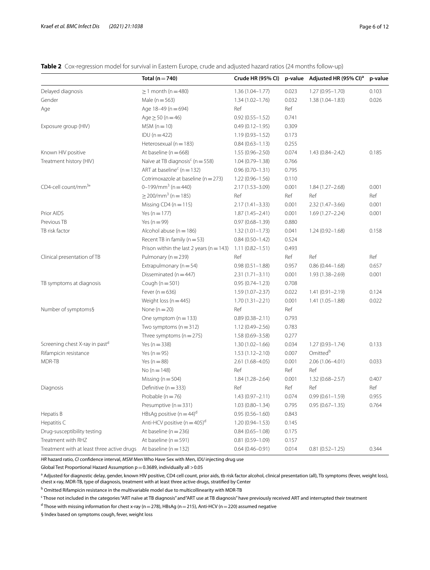<span id="page-5-0"></span>**Table 2** Cox-regression model for survival in Eastern Europe, crude and adjusted hazard ratios (24 months follow-up)

|                                            | Total ( $n = 740$ )                          | Crude HR (95% CI)   |       | p-value Adjusted HR (95% CI) <sup>a</sup> | p-value |
|--------------------------------------------|----------------------------------------------|---------------------|-------|-------------------------------------------|---------|
| Delayed diagnosis                          | $\geq$ 1 month (n = 480)                     | $1.36(1.04 - 1.77)$ | 0.023 | $1.27(0.95 - 1.70)$                       | 0.103   |
| Gender                                     | Male ( $n = 563$ )                           | $1.34(1.02 - 1.76)$ | 0.032 | $1.38(1.04 - 1.83)$                       | 0.026   |
| Age                                        | Age 18-49 (n = 694)                          | Ref                 | Ref   |                                           |         |
|                                            | Age $\geq$ 50 (n = 46)                       | $0.92(0.55 - 1.52)$ | 0.741 |                                           |         |
| Exposure group (HIV)                       | $MSM(n=10)$                                  | $0.49(0.12 - 1.95)$ | 0.309 |                                           |         |
|                                            | $IDU(n=422)$                                 | $1.19(0.93 - 1.52)$ | 0.173 |                                           |         |
|                                            | Heterosexual ( $n = 183$ )                   | $0.84(0.63 - 1.13)$ | 0.255 |                                           |         |
| Known HIV positive                         | At baseline ( $n = 668$ )                    | $1.55(0.96 - 2.50)$ | 0.074 | $1.43(0.84 - 2.42)$                       | 0.185   |
| Treatment history (HIV)                    | Naïve at TB diagnosis <sup>c</sup> (n = 558) | $1.04(0.79 - 1.38)$ | 0.766 |                                           |         |
|                                            | ART at baseline <sup>c</sup> ( $n = 132$ )   | $0.96(0.70 - 1.31)$ | 0.795 |                                           |         |
|                                            | Cotrimoxazole at baseline ( $n = 273$ )      | $1.22(0.96 - 1.56)$ | 0.110 |                                           |         |
| CD4-cell count/mm <sup>3</sup> °           | $0-199/mm^3 (n=440)$                         | 2.17 (1.53-3.09)    | 0.001 | $1.84(1.27 - 2.68)$                       | 0.001   |
|                                            | $\geq$ 200/mm <sup>3</sup> (n = 185)         | Ref                 | Ref   | Ref                                       | Ref     |
|                                            | Missing CD4 ( $n = 115$ )                    | $2.17(1.41 - 3.33)$ | 0.001 | $2.32(1.47 - 3.66)$                       | 0.001   |
| Prior AIDS                                 | Yes ( $n = 177$ )                            | $1.87(1.45 - 2.41)$ | 0.001 | $1.69(1.27 - 2.24)$                       | 0.001   |
| Previous TB                                | Yes ( $n = 99$ )                             | $0.97(0.68 - 1.39)$ | 0.880 |                                           |         |
| TB risk factor                             | Alcohol abuse ( $n = 186$ )                  | $1.32(1.01 - 1.73)$ | 0.041 | $1.24(0.92 - 1.68)$                       | 0.158   |
|                                            | Recent TB in family ( $n = 53$ )             | $0.84(0.50 - 1.42)$ | 0.524 |                                           |         |
|                                            | Prison within the last 2 years ( $n = 143$ ) | $1.11(0.82 - 1.51)$ | 0.493 |                                           |         |
| Clinical presentation of TB                | Pulmonary (n = 239)                          | Ref                 | Ref   | Ref                                       | Ref     |
|                                            | Extrapulmonary ( $n = 54$ )                  | $0.98(0.51 - 1.88)$ | 0.957 | $0.86(0.44 - 1.68)$                       | 0.657   |
|                                            | Disseminated ( $n = 447$ )                   | $2.31(1.71 - 3.11)$ | 0.001 | 1.93 (1.38-2.69)                          | 0.001   |
| TB symptoms at diagnosis                   | Cough ( $n = 501$ )                          | $0.95(0.74 - 1.23)$ | 0.708 |                                           |         |
|                                            | Fever ( $n = 636$ )                          | $1.59(1.07 - 2.37)$ | 0.022 | $1.41(0.91 - 2.19)$                       | 0.124   |
|                                            | Weight loss ( $n = 445$ )                    | $1.70(1.31 - 2.21)$ | 0.001 | $1.41(1.05 - 1.88)$                       | 0.022   |
| Number of symptoms§                        | None $(n=20)$                                | Ref                 | Ref   |                                           |         |
|                                            | One symptom $(n = 133)$                      | $0.89(0.38 - 2.11)$ | 0.793 |                                           |         |
|                                            | Two symptoms $(n = 312)$                     | 1.12 (0.49-2.56)    | 0.783 |                                           |         |
|                                            | Three symptoms $(n = 275)$                   | 1.58 (0.69-3.58)    | 0.277 |                                           |         |
| Screening chest X-ray in pastd             | Yes ( $n = 338$ )                            | $1.30(1.02 - 1.66)$ | 0.034 | 1.27 (0.93-1.74)                          | 0.133   |
| Rifampicin resistance                      | Yes ( $n = 95$ )                             | $1.53(1.12 - 2.10)$ | 0.007 | Omitted <sup>b</sup>                      |         |
| MDR-TB                                     | Yes ( $n = 88$ )                             | $2.61(1.68 - 4.05)$ | 0.001 | 2.06 (1.06-4.01)                          | 0.033   |
|                                            | No $(n = 148)$                               | Ref                 | Ref   | Ref                                       |         |
|                                            | Missing ( $n = 504$ )                        | $1.84(1.28 - 2.64)$ | 0.001 | $1.32(0.68 - 2.57)$                       | 0.407   |
| Diagnosis                                  | Definitive ( $n = 333$ )                     | Ref                 | Ref   | Ref                                       | Ref     |
|                                            | Probable ( $n = 76$ )                        | $1.43(0.97 - 2.11)$ | 0.074 | $0.99(0.61 - 1.59)$                       | 0.955   |
|                                            | Presumptive ( $n = 331$ )                    | $1.03(0.80 - 1.34)$ | 0.795 | $0.95(0.67 - 1.35)$                       | 0.764   |
| Hepatis B                                  | HBsAg positive $(n = 44)^d$                  | $0.95(0.56 - 1.60)$ | 0.843 |                                           |         |
| Hepatitis C                                | Anti-HCV positive ( $n = 405$ ) <sup>d</sup> | $1.20(0.94 - 1.53)$ | 0.145 |                                           |         |
| Drug-susceptibility testing                | At baseline ( $n = 236$ )                    | $0.84(0.65 - 1.08)$ | 0.175 |                                           |         |
| Treatment with RHZ                         | At baseline ( $n = 591$ )                    | $0.81(0.59 - 1.09)$ | 0.157 |                                           |         |
| Treatment with at least three active drugs | At baseline ( $n = 132$ )                    | $0.64(0.46 - 0.91)$ | 0.014 | $0.81(0.52 - 1.25)$                       | 0.344   |

*HR* hazard ratio, *CI* confdence interval, *MSM* Men Who Have Sex with Men, *IDU* injecting drug use

Global Test Proportional Hazard Assumption  $p=0.3689$ , individually all  $>0.05$ 

a<br>Adjusted for diagnostic delay, gender, known HIV positive, CD4 cell count, prior aids, tb risk factor alcohol, clinical presentation (all), Tb symptoms (fever, weight loss), chest x-ray, MDR-TB, type of diagnosis, treatment with at least three active drugs, stratifed by Center

<sup>b</sup> Omitted Rifampicin resistance in the multivariable model due to multicollinearity with MDR-TB

c Those not included in the categories "ART naïve at TB diagnosis" and"ART use at TB diagnosis" have previously received ART and interrupted their treatment

<sup>d</sup> Those with missing information for chest x-ray (n = 278), HBsAg (n = 215), Anti-HCV (n = 220) assumed negative

§ Index based on symptoms cough, fever, weight loss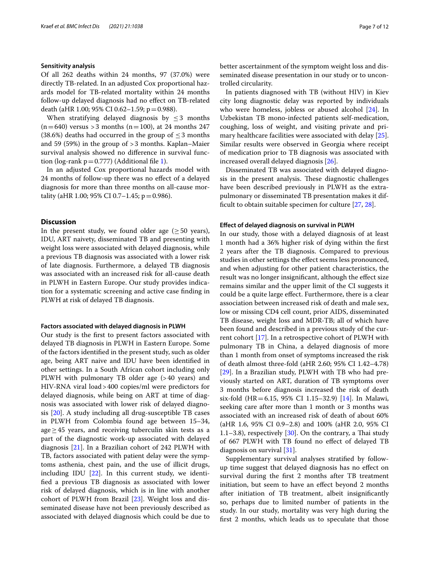#### **Sensitivity analysis**

Of all 262 deaths within 24 months, 97 (37.0%) were directly TB-related. In an adjusted Cox proportional hazards model for TB-related mortality within 24 months follow-up delayed diagnosis had no efect on TB-related death (aHR 1.00; 95% CI 0.62-1.59; p=0.988).

When stratifying delayed diagnosis by  $\leq$  3 months  $(n=640)$  versus > 3 months  $(n=100)$ , at 24 months 247 (38.6%) deaths had occurred in the group of  $\leq$  3 months and 59 (59%) in the group of >3 months. Kaplan–Maier survival analysis showed no diference in survival function (log-rank  $p=0.777$ ) (Additional file [1](#page-9-0)).

In an adjusted Cox proportional hazards model with 24 months of follow-up there was no efect of a delayed diagnosis for more than three months on all-cause mortality (aHR 1.00; 95% CI 0.7-1.45; p = 0.986).

#### **Discussion**

In the present study, we found older age  $(\geq 50 \text{ years})$ , IDU, ART naivety, disseminated TB and presenting with weight loss were associated with delayed diagnosis, while a previous TB diagnosis was associated with a lower risk of late diagnosis. Furthermore, a delayed TB diagnosis was associated with an increased risk for all-cause death in PLWH in Eastern Europe. Our study provides indication for a systematic screening and active case fnding in PLWH at risk of delayed TB diagnosis.

#### **Factors associated with delayed diagnosis in PLWH**

Our study is the frst to present factors associated with delayed TB diagnosis in PLWH in Eastern Europe. Some of the factors identifed in the present study, such as older age, being ART naive and IDU have been identifed in other settings. In a South African cohort including only PLWH with pulmonary TB older age (>40 years) and HIV-RNA viral load>400 copies/ml were predictors for delayed diagnosis, while being on ART at time of diagnosis was associated with lower risk of delayed diagnosis [\[20](#page-10-14)]. A study including all drug-susceptible TB cases in PLWH from Colombia found age between 15–34, age $\geq$  45 years, and receiving tuberculin skin tests as a part of the diagnostic work-up associated with delayed diagnosis [[21](#page-10-15)]. In a Brazilian cohort of 242 PLWH with TB, factors associated with patient delay were the symptoms asthenia, chest pain, and the use of illicit drugs, including IDU [[22\]](#page-10-16). In this current study, we identifed a previous TB diagnosis as associated with lower risk of delayed diagnosis, which is in line with another cohort of PLWH from Brazil [\[23\]](#page-10-17). Weight loss and disseminated disease have not been previously described as associated with delayed diagnosis which could be due to better ascertainment of the symptom weight loss and disseminated disease presentation in our study or to uncontrolled circularity.

In patients diagnosed with TB (without HIV) in Kiev city long diagnostic delay was reported by individuals who were homeless, jobless or abused alcohol [\[24](#page-10-18)]. In Uzbekistan TB mono-infected patients self-medication, coughing, loss of weight, and visiting private and primary healthcare facilities were associated with delay [\[25](#page-10-19)]. Similar results were observed in Georgia where receipt of medication prior to TB diagnosis was associated with increased overall delayed diagnosis [[26\]](#page-10-20).

Disseminated TB was associated with delayed diagnosis in the present analysis. These diagnostic challenges have been described previously in PLWH as the extrapulmonary or disseminated TB presentation makes it difficult to obtain suitable specimen for culture  $[27, 28]$  $[27, 28]$  $[27, 28]$ .

#### **Efect of delayed diagnosis on survival in PLWH**

In our study, those with a delayed diagnosis of at least 1 month had a 36% higher risk of dying within the frst 2 years after the TB diagnosis. Compared to previous studies in other settings the efect seems less pronounced, and when adjusting for other patient characteristics, the result was no longer insignifcant, although the efect size remains similar and the upper limit of the CI suggests it could be a quite large efect. Furthermore, there is a clear association between increased risk of death and male sex, low or missing CD4 cell count, prior AIDS, disseminated TB disease, weight loss and MDR-TB; all of which have been found and described in a previous study of the current cohort [\[17\]](#page-10-11). In a retrospective cohort of PLWH with pulmonary TB in China, a delayed diagnosis of more than 1 month from onset of symptoms increased the risk of death almost three-fold (aHR 2.60; 95% CI 1.42–4.78) [[29\]](#page-10-23). In a Brazilian study, PLWH with TB who had previously started on ART, duration of TB symptoms over 3 months before diagnosis increased the risk of death six-fold (HR=6.15, 95% CI 1.15–32.9) [\[14](#page-10-9)]. In Malawi, seeking care after more than 1 month or 3 months was associated with an increased risk of death of about 60% (aHR 1.6, 95% CI 0.9–2.8) and 100% (aHR 2.0, 95% CI 1.1–3.8), respectively  $[30]$  $[30]$ . On the contrary, a Thai study of 667 PLWH with TB found no efect of delayed TB diagnosis on survival [[31\]](#page-10-25).

Supplementary survival analyses stratifed by followup time suggest that delayed diagnosis has no efect on survival during the frst 2 months after TB treatment initiation, but seem to have an efect beyond 2 months after initiation of TB treatment, albeit insignifcantly so, perhaps due to limited number of patients in the study. In our study, mortality was very high during the frst 2 months, which leads us to speculate that those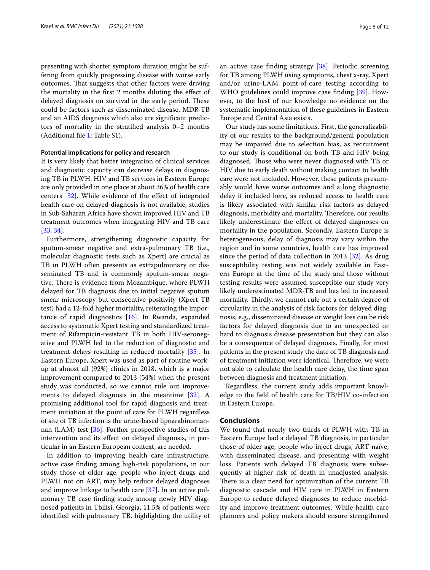presenting with shorter symptom duration might be suffering from quickly progressing disease with worse early outcomes. That suggests that other factors were driving the mortality in the frst 2 months diluting the efect of delayed diagnosis on survival in the early period. These could be factors such as disseminated disease, MDR-TB and an AIDS diagnosis which also are signifcant predictors of mortality in the stratifed analysis 0–2 months (Additional fle [1](#page-9-0): Table S1).

#### **Potential implications for policy and research**

It is very likely that better integration of clinical services and diagnostic capacity can decrease delays in diagnosing TB in PLWH. HIV and TB services in Eastern Europe are only provided in one place at about 36% of health care centers [\[32](#page-11-0)]. While evidence of the effect of integrated health care on delayed diagnosis is not available, studies in Sub-Saharan Africa have shown improved HIV and TB treatment outcomes when integrating HIV and TB care [[33,](#page-11-1) [34](#page-11-2)].

Furthermore, strengthening diagnostic capacity for sputum-smear negative and extra-pulmonary TB (i.e., molecular diagnostic tests such as Xpert) are crucial as TB in PLWH often presents as extrapulmonary or disseminated TB and is commonly sputum-smear negative. There is evidence from Mozambique, where PLWH delayed for TB diagnosis due to initial negative sputum smear microscopy but consecutive positivity (Xpert TB test) had a 12-fold higher mortality, reiterating the importance of rapid diagnostics [\[16\]](#page-10-10). In Rwanda, expanded access to systematic Xpert testing and standardized treatment of Rifampicin-resistant TB in both HIV-seronegative and PLWH led to the reduction of diagnostic and treatment delays resulting in reduced mortality [[35\]](#page-11-3). In Eastern Europe, Xpert was used as part of routine workup at almost all (92%) clinics in 2018, which is a major improvement compared to 2013 (54%) when the present study was conducted, so we cannot rule out improvements to delayed diagnosis in the meantime [[32\]](#page-11-0). A promising additional tool for rapid diagnosis and treatment initiation at the point of care for PLWH regardless of site of TB infection is the urine-based lipoarabinomannan (LAM) test [[36](#page-11-4)]. Further prospective studies of this intervention and its efect on delayed diagnosis, in particular in an Eastern European context, are needed.

In addition to improving health care infrastructure, active case fnding among high-risk populations, in our study those of older age, people who inject drugs and PLWH not on ART, may help reduce delayed diagnoses and improve linkage to health care [\[37](#page-11-5)]. In an active pulmonary TB case fnding study among newly HIV diagnosed patients in Tbilisi, Georgia, 11.5% of patients were identifed with pulmonary TB, highlighting the utility of an active case fnding strategy [[38](#page-11-6)]. Periodic screening for TB among PLWH using symptoms, chest x-ray, Xpert and/or urine-LAM point-of-care testing according to WHO guidelines could improve case finding [[39\]](#page-11-7). However, to the best of our knowledge no evidence on the systematic implementation of these guidelines in Eastern Europe and Central Asia exists.

Our study has some limitations. First, the generalizability of our results to the background/general population may be impaired due to selection bias, as recruitment to our study is conditional on both TB and HIV being diagnosed. Those who were never diagnosed with TB or HIV due to early death without making contact to health care were not included. However, these patients presumably would have worse outcomes and a long diagnostic delay if included here, as reduced access to health care is likely associated with similar risk factors as delayed diagnosis, morbidity and mortality. Therefore, our results likely underestimate the effect of delayed diagnoses on mortality in the population. Secondly, Eastern Europe is heterogeneous, delay of diagnosis may vary within the region and in some countries, health care has improved since the period of data collection in 2013 [\[32\]](#page-11-0). As drug susceptibility testing was not widely available in Eastern Europe at the time of the study and those without testing results were assumed susceptible our study very likely underestimated MDR-TB and has led to increased mortality. Thirdly, we cannot rule out a certain degree of circularity in the analysis of risk factors for delayed diagnosis; e.g., disseminated disease or weight loss can be risk factors for delayed diagnosis due to an unexpected or hard to diagnosis disease presentation but they can also be a consequence of delayed diagnosis. Finally, for most patients in the present study the date of TB diagnosis and of treatment initiation were identical. Therefore, we were not able to calculate the health care delay, the time span between diagnosis and treatment initiation.

Regardless, the current study adds important knowledge to the feld of health care for TB/HIV co-infection in Eastern Europe.

#### **Conclusions**

We found that nearly two thirds of PLWH with TB in Eastern Europe had a delayed TB diagnosis, in particular those of older age, people who inject drugs, ART naïve, with disseminated disease, and presenting with weight loss. Patients with delayed TB diagnosis were subsequently at higher risk of death in unadjusted analysis. There is a clear need for optimization of the current TB diagnostic cascade and HIV care in PLWH in Eastern Europe to reduce delayed diagnoses to reduce morbidity and improve treatment outcomes. While health care planners and policy makers should ensure strengthened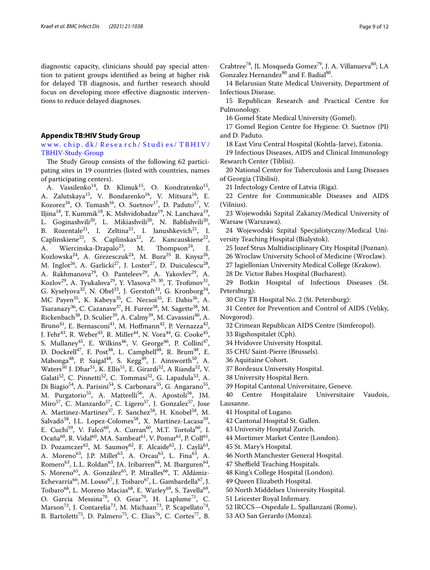diagnostic capacity, clinicians should pay special attention to patient groups identifed as being at higher risk for delayed TB diagnosis, and further research should focus on developing more efective diagnostic interventions to reduce delayed diagnoses.

#### <span id="page-8-0"></span>**Appendix TB:HIV Study Group**

#### www. chip. dk/ Resea rch/ Studi es/ [TBHIV/](http://www.chip.dk/Research/Studies/TBHIV/TBHIV-Study-Group) [TBHIV-Study-Group](http://www.chip.dk/Research/Studies/TBHIV/TBHIV-Study-Group)

The Study Group consists of the following 62 participating sites in 19 countries (listed with countries, names of participating centers).

A. Vassilenko<sup>14</sup>, D. Klimuk<sup>15</sup>, O. Kondratenko<sup>15</sup>, A. Zalutskaya<sup>15</sup>, V. Bondarenko<sup>16</sup>, V. Mitsura<sup>16</sup>, E. Kozorez<sup>16</sup>, O. Tumash<sup>16</sup>, O. Suetnov<sup>17</sup>, D. Paduto<sup>17</sup>, V. Iljina<sup>18</sup>, T. Kummik<sup>18</sup>, K. Mshvidobadze<sup>19</sup>, N. Lanchava<sup>19</sup> L. Goginashvili<sup>20</sup>, L. Mikiashvili<sup>20</sup>, N. Bablishvili<sup>20</sup>, B. Rozentale<sup>21</sup>, I. Zeltina<sup>21</sup>, I. Janushkevich<sup>21</sup>, I. Caplinskiene<sup>22</sup>, S. Caplinskas<sup>22</sup>, Z. Kancauskiene<sup>22</sup>, A. Wiercinska-Drapalo<sup>23</sup>, M. Thompson<sup>24</sup>, J. Kozlowska<sup>24</sup>, A. Grezesczuk<sup>24</sup>, M. Bura<sup>25</sup> B. Knysz<sup>26</sup>, M. Inglot<sup>26</sup>, A. Garlicki<sup>27</sup>, J. Loster<sup>27</sup>, D. Duiculescu<sup>28</sup>, A. Rakhmanova<sup>29</sup>, O. Panteleev<sup>29</sup>, A. Yakovlev<sup>29</sup>, A. Kozlov<sup>29</sup>, A. Tyukalova<sup>29</sup>, Y. Vlasova<sup>29, 30</sup>, T. Trofimov<sup>31</sup> G. Kyselyova<sup>32</sup>, N. Obel<sup>33</sup>, J. Gerstoft<sup>33</sup>, G. Kronborg<sup>34</sup>, MC Payen<sup>35</sup>, K. Kabeya<sup>35</sup>, C. Necsoi<sup>35</sup>, F. Dabis<sup>36</sup>, A. Tsaranazy<sup>36</sup>, C. Cazanave<sup>37</sup>, H. Furrer<sup>38</sup>, M. Sagette<sup>38</sup>, M. Rickenbach<sup>38</sup>, D. Sculier<sup>39</sup>, A. Calmy<sup>39</sup>, M. Cavassini<sup>40</sup>, A. Bruno $^{41}$ , E. Bernasconi $^{41}$ , M. Hoffmann $^{42}$ , P. Vernazza $^{42}$ , J. Fehr<sup>43</sup>, R. Weber<sup>43</sup>, R. Miller<sup>44</sup>, N. Vora<sup>44</sup>, G. Cooke<sup>45</sup>, S. Mullaney<sup>45</sup>, E. Wilkins<sup>46</sup>, V. George<sup>46</sup>, P. Collini<sup>47</sup>, D. Dockrell<sup>47</sup>, F. Post<sup>48</sup>, L. Campbell<sup>48</sup>, R. Brum<sup>48</sup>, E. Mabonga<sup>48</sup>, P. Saigal<sup>48</sup>, S. Kegg<sup>49</sup>, J. Ainsworth<sup>50</sup>, A. Waters<sup>50</sup> J. Dhar<sup>51</sup>, K. Ellis<sup>51</sup>, E. Girardi<sup>52</sup>, A Rianda<sup>52</sup>, V. Galati<sup>52</sup>, C. Pinnetti<sup>52</sup>, C. Tommasi<sup>52</sup>, G. Lapadula<sup>53</sup>, A. Di Biagio<sup>54</sup>, A. Parisini<sup>54</sup>, S. Carbonara<sup>55</sup>, G. Angarano<sup>55</sup>, M. Purgatorio<sup>55</sup>, A. Matteelli<sup>56</sup>, A. Apostoli<sup>56</sup>, JM. Miro<sup>57</sup>, C. Manzardo<sup>57</sup>, C. Ligero<sup>57</sup>, J. Gonzalez<sup>57</sup>, Jose A. Martinez-Martinez<sup>57</sup>, F. Sanchez<sup>58</sup>, H. Knobel<sup>58</sup>, M. Salvadó<sup>58</sup>, J.L. Lopez-Colomes<sup>58</sup>, X. Martínez-Lacasa<sup>59</sup>, E. Cuchí<sup>59</sup>, V. Falcó<sup>60</sup>, A. Curran<sup>60</sup>, M.T. Tortola<sup>60</sup>, I. Ocaña<sup>60</sup>, R. Vidal<sup>60</sup>, MA. Sambeat<sup>61</sup>, V. Pomar<sup>61</sup>, P. Coll<sup>61</sup>, D. Pozamczer<sup>62</sup>, M. Saumoy<sup>62</sup>, F. Alcaide<sup>62</sup>, J. Caylà<sup>63</sup>, A. Moreno<sup>63</sup>, J.P. Millet<sup>63</sup>, A. Orcau<sup>63</sup>, L. Fina<sup>63</sup>, A. Romero<sup>63</sup>, L.L. Roldan<sup>63</sup>, JA. Iribarren<sup>64</sup>, M. Ibarguren<sup>64</sup>, S. Moreno<sup>65</sup>, A. González<sup>65</sup>, P. Miralles<sup>66</sup>, T. Aldámiz-Echevarría<sup>66</sup>, M. Losso<sup>67</sup>, J. Toibaro<sup>67</sup>, L. Gambardella<sup>67</sup>, J. Toibaro<sup>68</sup>, L. Moreno Macias<sup>68</sup>, E. Warley<sup>69</sup>, S. Tavella<sup>69</sup>, O. Garcia Messina<sup>70</sup>, O. Gear<sup>70</sup>, H. Laplume<sup>71</sup>, C. Marson<sup>72</sup>, J. Contarelia<sup>73</sup>, M. Michaan<sup>73</sup>, P. Scapellato<sup>74</sup>, B. Bartoletti<sup>75</sup>, D. Palmero<sup>75</sup>, C. Elias<sup>76</sup>, C. Cortes<sup>77</sup>, B.

14 Belarusian State Medical University, Department of Infectious Disease.

15 Republican Research and Practical Centre for Pulmonology.

16 Gomel State Medical University (Gomel).

17 Gomel Region Centre for Hygiene: O. Suetnov (PI) and D. Paduto.

18 East Viru Central Hospital (Kohtla-Jarve), Estonia.

19 Infectious Diseases, AIDS and Clinical Immunology Research Center (Tiblisi).

20 National Center for Tuberculosis and Lung Diseases of Georgia (Tibilisi).

21 Infectology Centre of Latvia (Riga).

22 Centre for Communicable Diseases and AIDS (Vilnius).

23 Wojewodski Szpital Zakanzy/Medical University of Warsaw (Warszawa).

24 Wojewodski Szpital Specjalistyczny/Medical University Teaching Hospital (Bialystok).

25 Jozef Strus Multidisciplinary City Hospital (Poznan).

26 Wroclaw University School of Medicine (Wroclaw).

27 Jagiellonian University Medical College (Krakow).

28 Dr. Victor Babes Hospital (Bucharest).

29 Botkin Hospital of Infectious Diseases (St. Petersburg).

30 City TB Hospital No. 2 (St. Petersburg):

31 Center for Prevention and Control of AIDS (Veliky, Novgorod).

32 Crimean Republican AIDS Centre (Simferopol).

33 Rigshospitalet (Cph).

34 Hvidovre University Hospital.

35 CHU Saint-Pierre (Brussels).

36 Aquitaine Cohort.

37 Bordeaux University Hospital.

38 University Hospital Bern.

39 Hopital Cantonal Universitaire, Geneve.

40 Centre Hospitalaire Universitaire Vaudois, Lausanne.

41 Hospital of Lugano.

42 Cantonal Hospital St. Gallen.

43 University Hospital Zurich.

44 Mortimer Market Centre (London).

45 St. Mary's Hospital.

46 North Manchester General Hospital.

47 Sheffield Teaching Hospitals.

48 King's College Hospital (London).

49 Queen Elizabeth Hospital.

50 North Middelsex University Hospital.

51 Leicester Royal Infrmary.

52 IRCCS—Ospedale L. Spallanzani (Rome).

53 AO San Gerardo (Monza).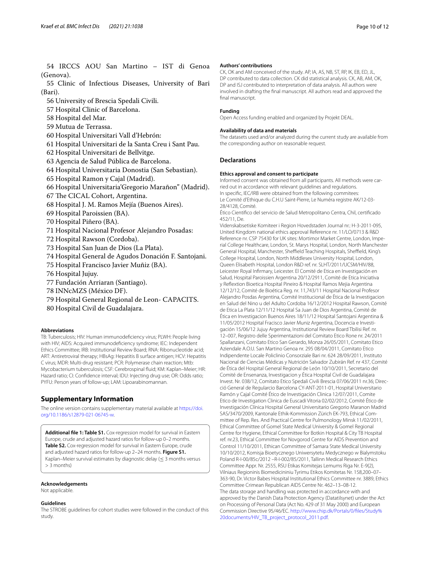55 Clinic of Infectious Diseases, University of Bari (Bari).

- 56 University of Brescia Spedali Civili.
- 57 Hospital Clinic of Barcelona.
- 58 Hospital del Mar.
- 59 Mutua de Terrassa.
- 60 Hospital Universitari Vall d'Hebrón:
- 61 Hospital Universitari de la Santa Creu i Sant Pau.
- 62 Hospital Universitari de Bellvitge.
- 63 Agencia de Salud Pública de Barcelona.

64 Hospital Universitaria Donostia (San Sebastian).

- 65 Hospital Ramon y Cajal (Madrid).
- 66 Hospital Universitaria'Gregorio Marañon'' (Madrid).
- 67 The CICAL Cohort, Argentina.
- 68 Hospital J. M. Ramos Mejía (Buenos Aires).
- 69 Hospital Paroissien (BA).
- 70 Hospital Piñero (BA).
- 71 Hospital Nacional Profesor Alejandro Posadas:
- 72 Hospital Rawson (Cordoba).
- 73 Hospital San Juan de Dios (La Plata).
- 74 Hospital General de Agudos Donación F. Santojani.
- 75 Hospital Francisco Javier Muñiz (BA).
- 76 Hospital Jujuy.
- 77 Fundación Arriaran (Santiago).
- 78 INNcMZS (México DF).
- 79 Hospital General Regional de Leon- CAPACITS.
- 80 Hospital Civil de Guadalajara.

#### **Abbreviations**

TB: Tuberculosis; HIV: Human immunodefciency virus; PLWH: People living with HIV; AIDS: Acquired immunodefciency syndrome; IEC: Independent Ethics Committee; IRB: Institutional Review Board; RNA: Ribonucleotide acid; ART: Antiretroviral therapy; HBsAg: Hepatitis B surface antigen; HCV: Hepatitis C virus; MDR: Multi-drug resistant; PCR: Polymerase chain reaction; Mtb: Mycobacterium tuberculosis; CSF: Cerebrospinal fuid; KM: Kaplan–Meier; HR: Hazard ratio; CI: Confdence interval; IDU: Injecting drug use; OR: Odds ratio; PYFU: Person years of follow-up; LAM: Lipoarabinomannan.

#### **Supplementary Information**

The online version contains supplementary material available at [https://doi.](https://doi.org/10.1186/s12879-021-06745-w) [org/10.1186/s12879-021-06745-w.](https://doi.org/10.1186/s12879-021-06745-w)

<span id="page-9-0"></span>**Additional fle 1: Table S1.** Cox-regression model for survival in Eastern Europe, crude and adjusted hazard ratios for follow-up 0–2 months. **Table S2.** Cox-regression model for survival in Eastern Europe, crude and adjusted hazard ratios for follow-up 2–24 months. **Figure S1.** Kaplan–Meier survival estimates by diagnostic delay ( $\leq$  3 months versus > 3 months)

#### **Acknowledgements**

Not applicable.

#### **Guidelines**

The STROBE guidelines for cohort studies were followed in the conduct of this study.

#### **Authors' contributions**

CK, OK and AM conceived of the study. AP, IA, AS, NB, ST, RP, IK, EB, ED, JL, DP contributed to data collection. CK did statistical analysis. CK, AB, AM, OK, DP and ISJ contributed to interpretation of data analysis. All authors were involved in drafting the fnal manuscript. All authors read and approved the fnal manuscript.

#### **Funding**

Open Access funding enabled and organized by Projekt DEAL.

#### **Availability of data and materials**

The datasets used and/or analyzed during the current study are available from the corresponding author on reasonable request.

#### **Declarations**

#### **Ethics approval and consent to participate**

Informed consent was obtained from all participants. All methods were carried out in accordance with relevant guidelines and regulations. In specifc, IEC/IRB were obtained from the following commitees: Le Comité d'Ethique du C.H.U Saint-Pierre, Le Numéra registre AK/12-03- 28/4128, Comité.

Ético Cientifco del servicio de Salud Metropolitano Centra, Chil, certifcado 452/11, De.

Videnskabsetiske Komiteer i Region Hovedstaden Journal nr.: H-3-2011-095, United Kingdom national ethics approval Reference nr. 11/LO/0713 & R&D Reference nr. CSP 75430 for UK sites: Mortimor Market Centre, London, Imperial College Healthcare, London, St. Marys Hospital, London, North Manchester General Hospital, Manchester, Sheffield Teaching Hospitals, Sheffield, King's College Hospital, London, North Middlesex University Hospital, London, Queen Elisabeth Hospital, London R&D ref. nr. SLHT/2011/UCSM/HIV/88, Leicester Royal Infrmary, Leicester. El Comité de Etica en Investigación en Salud, Hospital Paroissien Argentina 20/12/2911, Comité de Etica Iniciativa y Refextion Bioetica Hospital Pineiro & Hospital Ramos Mejia Argentina 12/12/12, Comité de Bioética Reg. nr. 11,743/11 Hospital Nacional Profesor Alejandro Posdas Argentina, Comité Institucional de Ètica de la Investigacion en Salud del Nino u del Adulto Cordoba 16/12/2012 Hospital Rawson, Comité de Etica La Plata 12/11/12 Hospital Sa Juan de Dios Argentina, Comité de Ética en Investigacion Buenos Aires 18/11/12 Hospital Santojani Argentina & 11/05/2012 Hospital Fracisco Javier Muniz Argentina, Docencia e Investigación 15/06/12 Jujuy Argentina, Institutional Review Board Tbilisi Ref. nr. 12–007, Registro delle Sperimentazioni del Comitato Etico Rone nr. 24/2011 Spallanzani, Comitato Etico San Gerardo, Monza 26/05/2011, Comitato Etico Aziendale A.O.U. San Martino Genoa nr. 295 08/04/2011, Comitato Etico Indipendente Locale Policlinio Consorziale Bari nr. 624 28/09/2011, Instituto Nacional de Ciencias Médicas y Nutrición Salvador Zubirán Ref. nr 437, Comité de Ética del Hospital General Regional de León 10/10/2011, Secretario del Comité de Ensenanza, Investigacion y Ética Hospital Civil de Guadalajara Invest. Nr. 038/12, Comitato Etico Spedali Civili Brescia 07/06/2011 nr.36; Direcció General de Regularcio Barcelona CY-ANT-2011-01, Hospital Universitario Ramón y Cajal Comité Ético de Investigación Clinica 12/07/2011, Comite Etico de Investigation Clinica de Euscadi Vitoria 02/02/2012, Comité Ético de Investigación Clínica Hospital General Universitario Gregorio Maranon Madrid SAS/3470/2009, Kantonale Ethik-Kommission Zürich EK-793, Ethical Committee of Rep. Res. And Practical Centre for Pulmonology Minsk 11/02/2011, Ethical Committee of Gomel State Medical University & Gomel Regional Centre for Hygiene, Ethical Committee for Botkin Hospital & City TB Hospital ref. nr.23, Ethical Committee for Novgorod Centre for AIDS Prevention and Control 11/10/2011, Ethican Committee of Samara State Medical University 10/10/2012, Komisja Bioetycznego Uniwersytetu Medycznego w Bialymstoku Poland R-I-00/85c/2012 –R-I-002/85/2011, Tallinn Medical Research Ethics Committee Appr. Nr. 2555, RSU Etikas Komitejas Lemums Riga Nr. E-9(2), Vilniaus Regioninis Biomedicininiu Tyrimu Etikos Komitetas Nr. 158,200–07– 363-90, Dr. Victor Babes Hospital Institutional Ethics Committee nr. 3889, Ethics Committee Crimean Republican AIDS Centre Nr. 462–13–08-12. The data storage and handling was protected in accordance with and approved by the Danish Data Protection Agency (Datatilsynet) under the Act on Processing of Personal Data (Act No. 429 of 31 May 2000) and European Commission Directive 95/46/EC. [http://www.chip.dk/Portals/0/fles/Study%](http://www.chip.dk/Portals/0/files/Study%20documents/HIV_TB_project_protocol_2011.pdf) [20documents/HIV\\_TB\\_project\\_protocol\\_2011.pdf.](http://www.chip.dk/Portals/0/files/Study%20documents/HIV_TB_project_protocol_2011.pdf)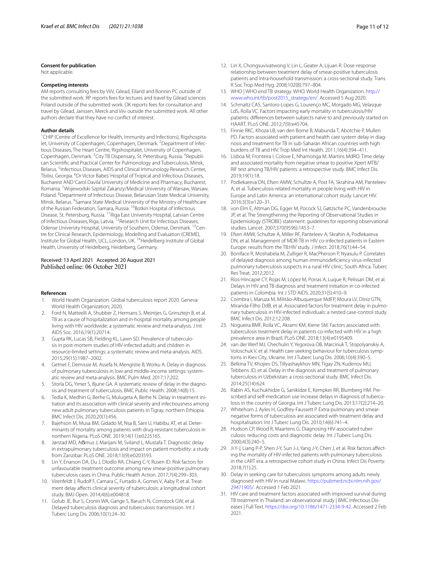#### **Consent for publication**

Not applicable.

#### **Competing interests**

AM reports consulting fees by ViiV, Gilead, Eiland and Bonnin PC outside of the submitted work. RP reports fees for lectures and travel by Gilead sciences Poland outside of the submitted work. OK reports fees for consultation and travel by Gilead, Janssen, Merck and Viiv outside the submitted work. All other authors declare that they have no confict of interest.

#### **Author details**

<sup>1</sup> CHIP (Centre of Excellence for Health, Immunity and Infections), Rigshospitalet, University of Copenhagen, Copenhagen, Denmark. <sup>2</sup> Department of Infectious Diseases, The Heart Centre, Rigshospitalet, University of Copenhagen, Copenhagen, Denmark. <sup>3</sup> City TB Dispensary, St. Petersburg, Russia. <sup>4</sup> Republican Scientifc and Practical Center for Pulmonology and Tuberculosis, Minsk, Belarus.<sup>5</sup> Infectious Diseases, AIDS and Clinical Immunology Research Center, Tbilisi, Georgia. <sup>6</sup>Dr Victor Babes' Hospital of Tropical and Infectious Diseases, Bucharest AND'Carol Davila' University of Medicine and Pharmacy, Bucharest, Romania. <sup>7</sup>Wojewodski Szpital Zakanzy/Medical University of Warsaw, Warsaw, Poland. <sup>8</sup> Department of Infectious Disease, Belarusian State Medical University, Minsk, Belarus. <sup>9</sup>Samara State Medical University of the Ministry of Healthcare of the Russian Federation, Samara, Russia. <sup>10</sup>Botkin Hospital of Infectious Disease, St. Petersburg, Russia. 11Riga East University Hospital, Latvian Centre of Infectious Diseases, Riga, Latvia. 12Research Unit for Infectious Diseases, Odense University Hospital, University of Southern, Odense, Denmark. <sup>13</sup>Centre for Clinical Research, Epidemiology, Modelling and Evaluation (CREME), Institute for Global Health, UCL, London, UK. 14Heidelberg Institute of Global Health, University of Heidelberg, Heidelberg, Germany.

# Received: 13 April 2021 Accepted: 20 August 2021

#### **References**

- <span id="page-10-0"></span>1. World Health Organization. Global tuberculosis report 2020. Geneva: World Health Organization; 2020.
- <span id="page-10-1"></span>2. Ford N, Matteelli A, Shubber Z, Hermans S, Meintjes G, Grinsztejn B, et al. TB as a cause of hospitalization and in-hospital mortality among people living with HIV worldwide: a systematic review and meta-analysis. J Int AIDS Soc. 2016;19(1):20714.
- <span id="page-10-2"></span>3. Gupta RK, Lucas SB, Fielding KL, Lawn SD. Prevalence of tuberculosis in post-mortem studies of HIV-infected adults and children in resource-limited settings: a systematic review and meta-analysis. AIDS. 2015;29(15):1987–2002.
- <span id="page-10-3"></span>4. Getnet F, Demissie M, Assefa N, Mengistie B, Worku A. Delay in diagnosis of pulmonary tuberculosis in low-and middle-income settings: systematic review and meta-analysis. BMC Pulm Med. 2017;17:202.
- <span id="page-10-4"></span>5. Storla DG, Yimer S, Bjune GA. A systematic review of delay in the diagnosis and treatment of tuberculosis. BMC Public Health. 2008;14(8):15.
- <span id="page-10-6"></span>6. Tedla K, Medhin G, Berhe G, Mulugeta A, Berhe N. Delay in treatment initiation and its association with clinical severity and infectiousness among new adult pulmonary tuberculosis patients in Tigray, northern Ethiopia. BMC Infect Dis. 2020;20(1):456.
- 7. Bajehson M, Musa BM, Gidado M, Nsa B, Sani U, Habibu AT, et al. Determinants of mortality among patients with drug-resistant tuberculosis in northern Nigeria. PLoS ONE. 2019;14(11):e0225165.
- 8. Jørstad MD, Aßmus J, Marijani M, Sviland L, Mustafa T. Diagnostic delay in extrapulmonary tuberculosis and impact on patient morbidity: a study from Zanzibar. PLoS ONE. 2018;13(9):e0203593.
- 9. Lin Y, Enarson DA, Du J, Dlodlo RA, Chiang C-Y, Rusen ID. Risk factors for unfavourable treatment outcome among new smear-positive pulmonary tuberculosis cases in China. Public Health Action. 2017;7(4):299–303.
- 10. Virenfeldt J, Rudolf F, Camara C, Furtado A, Gomes V, Aaby P, et al. Treatment delay afects clinical severity of tuberculosis: a longitudinal cohort study. BMJ Open. 2014;4(6):e004818.
- <span id="page-10-5"></span>11. Golub JE, Bur S, Cronin WA, Gange S, Baruch N, Comstock GW, et al. Delayed tuberculosis diagnosis and tuberculosis transmission. Int J Tuberc Lung Dis. 2006;10(1):24–30.
- <span id="page-10-7"></span>12. Lin X, Chongsuvivatwong V, Lin L, Geater A, Lijuan R. Dose-response relationship between treatment delay of smear-positive tuberculosis patients and intra-household transmission: a cross-sectional study. Trans R Soc Trop Med Hyg. 2008;102(8):797–804.
- <span id="page-10-8"></span>13. WHO | WHO end TB strategy. WHO. World Health Organization. [http://](http://www.who.int/tb/post2015_strategy/en/) [www.who.int/tb/post2015\\_strategy/en/.](http://www.who.int/tb/post2015_strategy/en/) Accessed 5 Aug 2020.
- <span id="page-10-9"></span>14. Schmaltz CAS, Santoro-Lopes G, Lourenço MC, Morgado MG, Velasque LdS, Rolla VC. Factors impacting early mortality in tuberculosis/HIV patients: diferences between subjects naïve to and previously started on HAART. PLoS ONE. 2012;7(9):e45704.
- 15. Finnie RKC, Khoza LB, van den Borne B, Mabunda T, Abotchie P, Mullen PD. Factors associated with patient and health care system delay in diagnosis and treatment for TB in sub-Saharan African countries with high burdens of TB and HIV. Trop Med Int Health. 2011;16(4):394–411.
- <span id="page-10-10"></span>16. Lisboa M, Fronteira I, Colove E, Nhamonga M, Martins MdRO. Time delay and associated mortality from negative smear to positive Xpert MTB/ RIF test among TB/HIV patients: a retrospective study. BMC Infect Dis. 2019;19(1):18.
- <span id="page-10-11"></span>17. Podlekareva DN, Efsen AMW, Schultze A, Post FA, Skrahina AM, Panteleev A, et al. Tuberculosis-related mortality in people living with HIV in Europe and Latin America: an international cohort study. Lancet HIV. 2016;3(3):e120–31.
- <span id="page-10-12"></span>18. von Elm E, Altman DG, Egger M, Pocock SJ, Gøtzsche PC, Vandenbroucke JP, et al. The Strengthening the Reporting of Observational Studies in Epidemiology (STROBE) statement: guidelines for reporting observational studies. Lancet. 2007;370(9596):1453–7.
- <span id="page-10-13"></span>19. Efsen AMW, Schultze A, Miller RF, Panteleev A, Skrahin A, Podlekareva DN, et al. Management of MDR-TB in HIV co-infected patients in Eastern Europe: results from the TB:HIV study. J Infect. 2018;76(1):44–54.
- <span id="page-10-14"></span>20. Boniface R, Moshabela M, Zulliger R, MacPherson P, Nyasulu P. Correlates of delayed diagnosis among human immunodefciency virus-infected pulmonary tuberculosis suspects in a rural HIV clinic, South Africa. Tuberc Res Treat. 2012;2012.
- <span id="page-10-15"></span>21. Ríos-Hincapié CY, Rojas M, López M, Porras A, Luque R, Pelissari DM, et al. Delays in HIV and TB diagnosis and treatment initiation in co-infected patients in Colombia. Int J STD AIDS. 2020;31(5):410–9.
- <span id="page-10-16"></span>22. Coimbra I, Maruza M, Militão-Albuquerque MdFP, Moura LV, Diniz GTN, Miranda-Filho DdB, et al. Associated factors for treatment delay in pulmonary tuberculosis in HIV-infected individuals: a nested case-control study. BMC Infect Dis. 2012;12:208.
- <span id="page-10-17"></span>23. Nogueira BMF, Rolla VC, Akrami KM, Kiene SM. Factors associated with tuberculosis treatment delay in patients co-infected with HIV in a high prevalence area in Brazil. PLoS ONE. 2018;13(4):e0195409.
- <span id="page-10-18"></span>24. van der Werf MJ, Chechulin Y, Yegorova OB, Marcinuk T, Stopolyanskiy A, Voloschuk V, et al. Health care seeking behaviour for tuberculosis symptoms in Kiev City, Ukraine. Int J Tuberc Lung Dis. 2006;10(4):390–5.
- <span id="page-10-19"></span>25. Belkina TV, Khojiev DS, Tillyashaykhov MN, Tigay ZN, Kudenov MU, Tebbens JD, et al. Delay in the diagnosis and treatment of pulmonary tuberculosis in Uzbekistan: a cross-sectional study. BMC Infect Dis. 2014;25(14):624.
- <span id="page-10-20"></span>26. Rabin AS, Kuchukhidze G, Sanikidze E, Kempker RR, Blumberg HM. Prescribed and self-medication use increase delays in diagnosis of tuberculosis in the country of Georgia. Int J Tuberc Lung Dis. 2013;17(2):214–20.
- <span id="page-10-21"></span>27. Whitehorn J, Ayles H, Godfrey-Faussett P. Extra-pulmonary and smearnegative forms of tuberculosis are associated with treatment delay and hospitalisation. Int J Tuberc Lung Dis. 2010;14(6):741–4.
- <span id="page-10-22"></span>28. Hudson CP, Wood R, Maartens G. Diagnosing HIV-associated tuberculosis: reducing costs and diagnostic delay. Int J Tuberc Lung Dis. 2000;4(3):240–5.
- <span id="page-10-23"></span>29. Ji Y-J, Liang P-P, Shen J-Y, Sun J-J, Yang J-Y, Chen J, et al. Risk factors afecting the mortality of HIV-infected patients with pulmonary tuberculosis in the cART era: a retrospective cohort study in China. Infect Dis Poverty. 2018;7(1):25.
- <span id="page-10-24"></span>30. Delay in seeking care for tuberculosis symptoms among adults newly diagnosed with HIV in rural Malawi. [https://pubmed.ncbi.nlm.nih.gov/](https://pubmed.ncbi.nlm.nih.gov/29471905/) [29471905/.](https://pubmed.ncbi.nlm.nih.gov/29471905/) Accessed 1 Feb 2021.
- <span id="page-10-25"></span>31. HIV care and treatment factors associated with improved survival during TB treatment in Thailand: an observational study | BMC Infectious Diseases | Full Text. [https://doi.org/10.1186/1471-2334-9-42.](https://doi.org/10.1186/1471-2334-9-42) Accessed 2 Feb 2021.